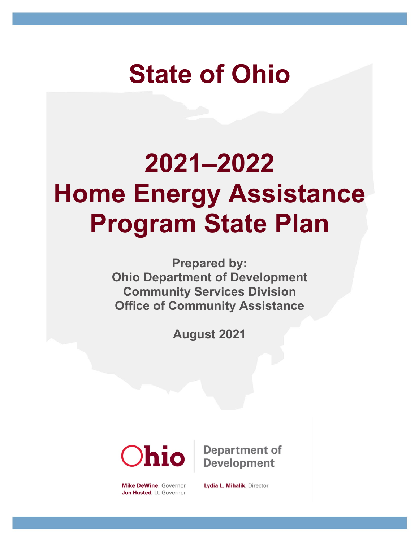# **State of Ohio**

# **2021–2022 Home Energy Assistance Program State Plan**

**Prepared by: Ohio Department of Development Community Services Division Office of Community Assistance**

**August 2021**



**Mike DeWine, Governor** Jon Husted, Lt. Governor

**Department of Development** 

Lydia L. Mihalik, Director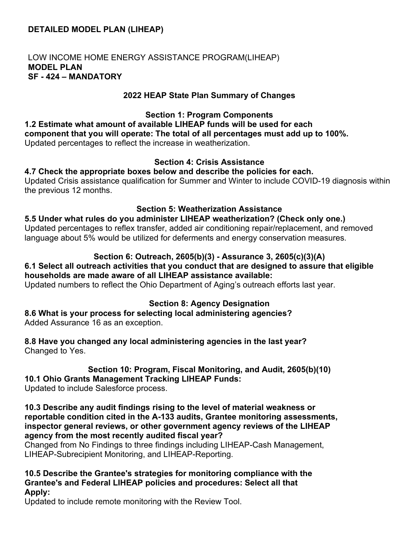# **DETAILED MODEL PLAN (LIHEAP)**

#### LOW INCOME HOME ENERGY ASSISTANCE PROGRAM(LIHEAP) **MODEL PLAN SF - 424 – MANDATORY**

#### **2022 HEAP State Plan Summary of Changes**

**Section 1: Program Components 1.2 Estimate what amount of available LIHEAP funds will be used for each component that you will operate: The total of all percentages must add up to 100%.** Updated percentages to reflect the increase in weatherization.

#### **Section 4: Crisis Assistance**

#### **4.7 Check the appropriate boxes below and describe the policies for each.**

Updated Crisis assistance qualification for Summer and Winter to include COVID-19 diagnosis within the previous 12 months.

#### **Section 5: Weatherization Assistance**

**5.5 Under what rules do you administer LIHEAP weatherization? (Check only one.)** Updated percentages to reflex transfer, added air conditioning repair/replacement, and removed language about 5% would be utilized for deferments and energy conservation measures.

#### **Section 6: Outreach, 2605(b)(3) - Assurance 3, 2605(c)(3)(A)**

#### **6.1 Select all outreach activities that you conduct that are designed to assure that eligible households are made aware of all LIHEAP assistance available:**

Updated numbers to reflect the Ohio Department of Aging's outreach efforts last year.

#### **Section 8: Agency Designation**

**8.6 What is your process for selecting local administering agencies?** Added Assurance 16 as an exception.

**8.8 Have you changed any local administering agencies in the last year?** Changed to Yes.

# **Section 10: Program, Fiscal Monitoring, and Audit, 2605(b)(10) 10.1 Ohio Grants Management Tracking LIHEAP Funds:**

Updated to include Salesforce process.

**10.3 Describe any audit findings rising to the level of material weakness or reportable condition cited in the A-133 audits, Grantee monitoring assessments, inspector general reviews, or other government agency reviews of the LIHEAP agency from the most recently audited fiscal year?**

Changed from No Findings to three findings including LIHEAP-Cash Management, LIHEAP-Subrecipient Monitoring, and LIHEAP-Reporting.

**10.5 Describe the Grantee's strategies for monitoring compliance with the Grantee's and Federal LIHEAP policies and procedures: Select all that Apply:**

Updated to include remote monitoring with the Review Tool.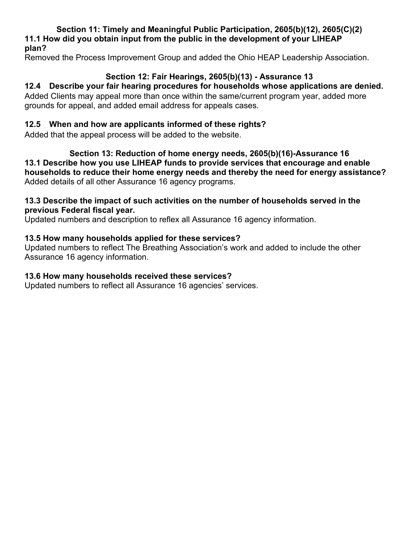**Section 11: Timely and Meaningful Public Participation, 2605(b)(12), 2605(C)(2) 11.1 How did you obtain input from the public in the development of your LIHEAP plan?**

Removed the Process Improvement Group and added the Ohio HEAP Leadership Association.

# **Section 12: Fair Hearings, 2605(b)(13) - Assurance 13**

#### **12.4 Describe your fair hearing procedures for households whose applications are denied.**  Added Clients may appeal more than once within the same/current program year, added more

grounds for appeal, and added email address for appeals cases.

# **12.5 When and how are applicants informed of these rights?**

Added that the appeal process will be added to the website.

**Section 13: Reduction of home energy needs, 2605(b)(16)-Assurance 16 13.1 Describe how you use LIHEAP funds to provide services that encourage and enable households to reduce their home energy needs and thereby the need for energy assistance?** Added details of all other Assurance 16 agency programs.

## **13.3 Describe the impact of such activities on the number of households served in the previous Federal fiscal year.**

Updated numbers and description to reflex all Assurance 16 agency information.

# **13.5 How many households applied for these services?**

Updated numbers to reflect The Breathing Association's work and added to include the other Assurance 16 agency information.

# **13.6 How many households received these services?**

Updated numbers to reflect all Assurance 16 agencies' services.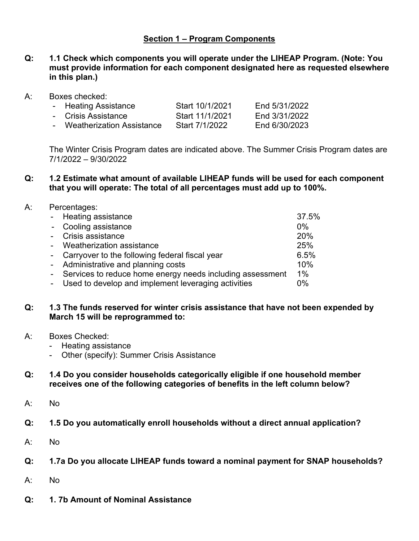# **Section 1 – Program Components**

- **Q: 1.1 Check which components you will operate under the LIHEAP Program. (Note: You must provide information for each component designated here as requested elsewhere in this plan.)**
- A: Boxes checked:

| - Heating Assistance        | Start 10/1/2021 | End 5/31/2022 |
|-----------------------------|-----------------|---------------|
| - Crisis Assistance         | Start 11/1/2021 | End 3/31/2022 |
| - Weatherization Assistance | Start 7/1/2022  | End 6/30/2023 |

The Winter Crisis Program dates are indicated above. The Summer Crisis Program dates are 7/1/2022 – 9/30/2022

**Q: 1.2 Estimate what amount of available LIHEAP funds will be used for each component that you will operate: The total of all percentages must add up to 100%.**

#### A: Percentages:

| - Heating assistance                                        | 37.5% |
|-------------------------------------------------------------|-------|
| - Cooling assistance                                        | $0\%$ |
| Crisis assistance                                           | 20%   |
| Weatherization assistance                                   | 25%   |
| - Carryover to the following federal fiscal year            | 6.5%  |
| - Administrative and planning costs                         | 10%   |
| - Services to reduce home energy needs including assessment | $1\%$ |
| Used to develop and implement leveraging activities         | $0\%$ |
|                                                             |       |

#### **Q: 1.3 The funds reserved for winter crisis assistance that have not been expended by March 15 will be reprogrammed to:**

- A: Boxes Checked:
	- Heating assistance
	- Other (specify): Summer Crisis Assistance

#### **Q: 1.4 Do you consider households categorically eligible if one household member receives one of the following categories of benefits in the left column below?**

- A: No
- **Q: 1.5 Do you automatically enroll households without a direct annual application?**
- A: No
- **Q: 1.7a Do you allocate LIHEAP funds toward a nominal payment for SNAP households?**
- A: No
- **Q: 1. 7b Amount of Nominal Assistance**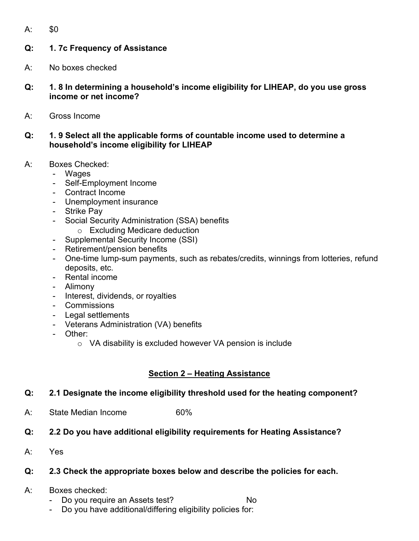A: \$0

# **Q: 1. 7c Frequency of Assistance**

- A: No boxes checked
- **Q: 1. 8 In determining a household's income eligibility for LIHEAP, do you use gross income or net income?**
- A: Gross Income
- **Q: 1. 9 Select all the applicable forms of countable income used to determine a household's income eligibility for LIHEAP**
- A: Boxes Checked:
	- Wages
	- Self-Employment Income
	- Contract Income
	- Unemployment insurance
	- Strike Pay
	- Social Security Administration (SSA) benefits
		- o Excluding Medicare deduction
	- Supplemental Security Income (SSI)
	- Retirement/pension benefits
	- One-time lump-sum payments, such as rebates/credits, winnings from lotteries, refund deposits, etc.
	- Rental income
	- Alimony
	- Interest, dividends, or royalties
	- Commissions
	- Legal settlements
	- Veterans Administration (VA) benefits
	- Other:
		- o VA disability is excluded however VA pension is include

# **Section 2 – Heating Assistance**

- **Q: 2.1 Designate the income eligibility threshold used for the heating component?**
- A: State Median Income 60%
- **Q: 2.2 Do you have additional eligibility requirements for Heating Assistance?**
- A: Yes

# **Q: 2.3 Check the appropriate boxes below and describe the policies for each.**

- A: Boxes checked:
	- Do you require an Assets test? No
	- Do you have additional/differing eligibility policies for: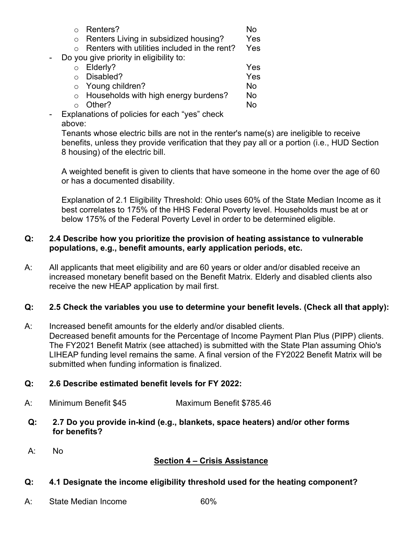|         | Renters?                                     | N٥  |
|---------|----------------------------------------------|-----|
| $\circ$ | Renters Living in subsidized housing?        | Yes |
|         | Renters with utilities included in the rent? | Yes |
|         | Do you give priority in eligibility to:      |     |
|         | Elderly?                                     | Yes |
|         | Disabled?                                    | Yes |
| $\circ$ | Young children?                              | No  |
| $\circ$ | Households with high energy burdens?         | No  |
|         | Other?                                       | Ν۸  |
|         |                                              |     |

- Explanations of policies for each "yes" check above:

Tenants whose electric bills are not in the renter's name(s) are ineligible to receive benefits, unless they provide verification that they pay all or a portion (i.e., HUD Section 8 housing) of the electric bill.

A weighted benefit is given to clients that have someone in the home over the age of 60 or has a documented disability.

Explanation of 2.1 Eligibility Threshold: Ohio uses 60% of the State Median Income as it best correlates to 175% of the HHS Federal Poverty level. Households must be at or below 175% of the Federal Poverty Level in order to be determined eligible.

# **Q: 2.4 Describe how you prioritize the provision of heating assistance to vulnerable populations, e.g., benefit amounts, early application periods, etc.**

A: All applicants that meet eligibility and are 60 years or older and/or disabled receive an increased monetary benefit based on the Benefit Matrix. Elderly and disabled clients also receive the new HEAP application by mail first.

# **Q: 2.5 Check the variables you use to determine your benefit levels. (Check all that apply):**

A: Increased benefit amounts for the elderly and/or disabled clients. Decreased benefit amounts for the Percentage of Income Payment Plan Plus (PIPP) clients. The FY2021 Benefit Matrix (see attached) is submitted with the State Plan assuming Ohio's LIHEAP funding level remains the same. A final version of the FY2022 Benefit Matrix will be submitted when funding information is finalized.

# **Q: 2.6 Describe estimated benefit levels for FY 2022:**

- A: Minimum Benefit \$45 Maximum Benefit \$785.46
- **Q: 2.7 Do you provide in-kind (e.g., blankets, space heaters) and/or other forms for benefits?**
- A: No

# **Section 4 – Crisis Assistance**

- **Q: 4.1 Designate the income eligibility threshold used for the heating component?**
- A: State Median Income 60%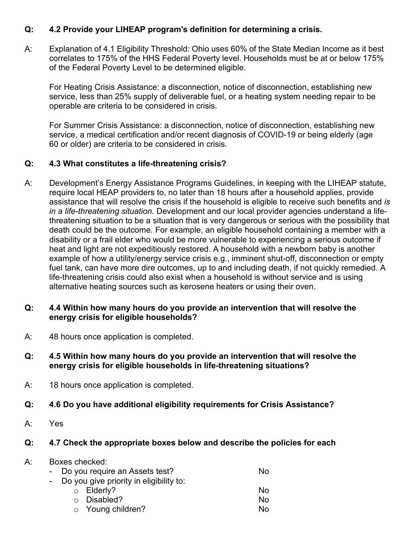# **Q: 4.2 Provide your LIHEAP program's definition for determining a crisis.**

A: Explanation of 4.1 Eligibility Threshold: Ohio uses 60% of the State Median Income as it best correlates to 175% of the HHS Federal Poverty level. Households must be at or below 175% of the Federal Poverty Level to be determined eligible.

For Heating Crisis Assistance: a disconnection, notice of disconnection, establishing new service, less than 25% supply of deliverable fuel, or a heating system needing repair to be operable are criteria to be considered in crisis.

For Summer Crisis Assistance: a disconnection, notice of disconnection, establishing new service, a medical certification and/or recent diagnosis of COVID-19 or being elderly (age 60 or older) are criteria to be considered in crisis.

# **Q: 4.3 What constitutes a life-threatening crisis?**

A: Development's Energy Assistance Programs Guidelines, in keeping with the LIHEAP statute, require local HEAP providers to, no later than 18 hours after a household applies, provide assistance that will resolve the crisis if the household is eligible to receive such benefits and *is in a life-threatening situation.* Development and our local provider agencies understand a lifethreatening situation to be a situation that is very dangerous or serious with the possibility that death could be the outcome. For example, an eligible household containing a member with a disability or a frail elder who would be more vulnerable to experiencing a serious outcome if heat and light are not expeditiously restored. A household with a newborn baby is another example of how a utility/energy service crisis e.g., imminent shut-off, disconnection or empty fuel tank, can have more dire outcomes, up to and including death, if not quickly remedied. A life-threatening crisis could also exist when a household is without service and is using alternative heating sources such as kerosene heaters or using their oven.

#### **Q: 4.4 Within how many hours do you provide an intervention that will resolve the energy crisis for eligible households?**

- A: 48 hours once application is completed.
- **Q: 4.5 Within how many hours do you provide an intervention that will resolve the energy crisis for eligible households in life-threatening situations?**
- A: 18 hours once application is completed.
- **Q: 4.6 Do you have additional eligibility requirements for Crisis Assistance?**
- A: Yes

# **Q: 4.7 Check the appropriate boxes below and describe the policies for each**

#### A: Boxes checked: Do you require an Assets test? No Do you give priority in eligibility to: o Elderly? No o Disabled? No  $\circ$  Young children?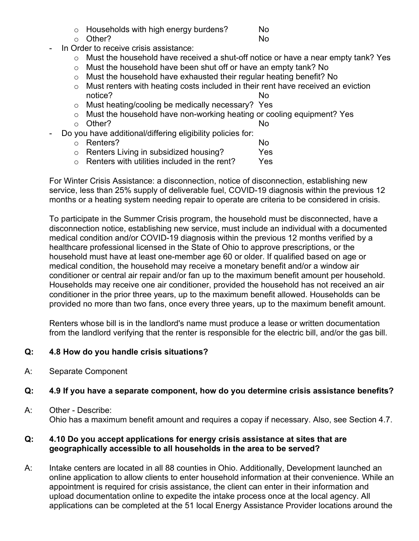- $\circ$  Households with high energy burdens? No<br> $\circ$  Other? No
- $O$  Other?

- In Order to receive crisis assistance:
	- o Must the household have received a shut-off notice or have a near empty tank? Yes
	- o Must the household have been shut off or have an empty tank? No
	- o Must the household have exhausted their regular heating benefit? No
	- o Must renters with heating costs included in their rent have received an eviction<br>notice? notice?
	- o Must heating/cooling be medically necessary? Yes
	- $\circ$  Must the household have non-working heating or cooling equipment? Yes  $\circ$  Other?  $\circ$  Other?
		-
	- Do you have additional/differing eligibility policies for:
		-
		- o Renters? No<br>
		o Renters Living in subsidized housing? No  $\circ$  Renters Living in subsidized housing?  $\circ$  Yes  $\circ$  Renters with utilities included in the rent? Yes
		- $\circ$  Renters with utilities included in the rent?

For Winter Crisis Assistance: a disconnection, notice of disconnection, establishing new service, less than 25% supply of deliverable fuel, COVID-19 diagnosis within the previous 12 months or a heating system needing repair to operate are criteria to be considered in crisis.

To participate in the Summer Crisis program, the household must be disconnected, have a disconnection notice, establishing new service, must include an individual with a documented medical condition and/or COVID-19 diagnosis within the previous 12 months verified by a healthcare professional licensed in the State of Ohio to approve prescriptions, or the household must have at least one-member age 60 or older. If qualified based on age or medical condition, the household may receive a monetary benefit and/or a window air conditioner or central air repair and/or fan up to the maximum benefit amount per household. Households may receive one air conditioner, provided the household has not received an air conditioner in the prior three years, up to the maximum benefit allowed. Households can be provided no more than two fans, once every three years, up to the maximum benefit amount.

Renters whose bill is in the landlord's name must produce a lease or written documentation from the landlord verifying that the renter is responsible for the electric bill, and/or the gas bill.

# **Q: 4.8 How do you handle crisis situations?**

A: Separate Component

# **Q: 4.9 If you have a separate component, how do you determine crisis assistance benefits?**

A: Other - Describe: Ohio has a maximum benefit amount and requires a copay if necessary. Also, see Section 4.7.

# **Q: 4.10 Do you accept applications for energy crisis assistance at sites that are geographically accessible to all households in the area to be served?**

A: Intake centers are located in all 88 counties in Ohio. Additionally, Development launched an online application to allow clients to enter household information at their convenience. While an appointment is required for crisis assistance, the client can enter in their information and upload documentation online to expedite the intake process once at the local agency. All applications can be completed at the 51 local Energy Assistance Provider locations around the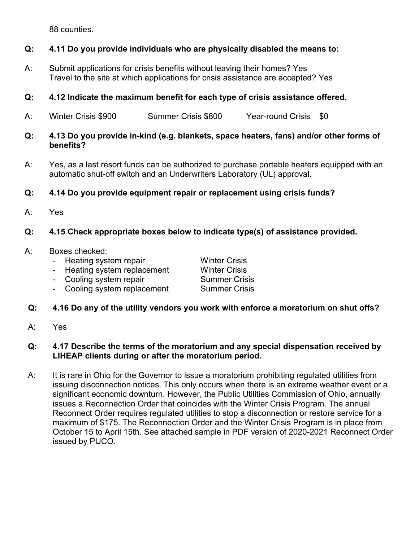88 counties.

# **Q: 4.11 Do you provide individuals who are physically disabled the means to:**

A: Submit applications for crisis benefits without leaving their homes? Yes Travel to the site at which applications for crisis assistance are accepted? Yes

# **Q: 4.12 Indicate the maximum benefit for each type of crisis assistance offered.**

- A: Winter Crisis \$900 Summer Crisis \$800 Year-round Crisis \$0
- **Q: 4.13 Do you provide in-kind (e.g. blankets, space heaters, fans) and/or other forms of benefits?**
- A: Yes, as a last resort funds can be authorized to purchase portable heaters equipped with an automatic shut-off switch and an Underwriters Laboratory (UL) approval.
- **Q: 4.14 Do you provide equipment repair or replacement using crisis funds?**
- A: Yes

# **Q: 4.15 Check appropriate boxes below to indicate type(s) of assistance provided.**

- A: Boxes checked:
	- Heating system repair **Winter Crisis**
	- Heating system replacement Winter Crisis
	- Cooling system repair Summer Crisis

- Cooling system replacement Summer Crisis

- **Q: 4.16 Do any of the utility vendors you work with enforce a moratorium on shut offs?**
- A: Yes

#### **Q: 4.17 Describe the terms of the moratorium and any special dispensation received by LIHEAP clients during or after the moratorium period.**

A: It is rare in Ohio for the Governor to issue a moratorium prohibiting regulated utilities from issuing disconnection notices. This only occurs when there is an extreme weather event or a significant economic downturn. However, the Public Utilities Commission of Ohio, annually issues a Reconnection Order that coincides with the Winter Crisis Program. The annual Reconnect Order requires regulated utilities to stop a disconnection or restore service for a maximum of \$175. The Reconnection Order and the Winter Crisis Program is in place from October 15 to April 15th. See attached sample in PDF version of 2020-2021 Reconnect Order issued by PUCO.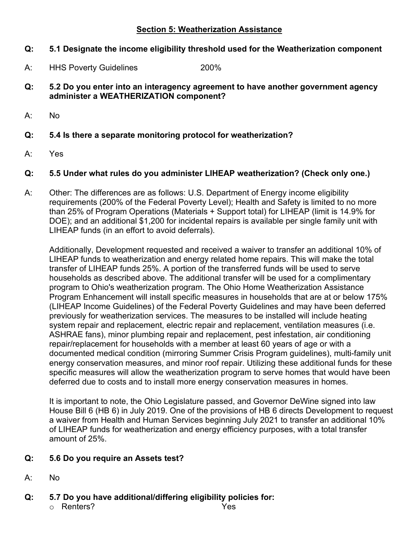#### **Section 5: Weatherization Assistance**

# **Q: 5.1 Designate the income eligibility threshold used for the Weatherization component**

- A: HHS Poverty Guidelines 200%
- **Q: 5.2 Do you enter into an interagency agreement to have another government agency administer a WEATHERIZATION component?**
- A: No
- **Q: 5.4 Is there a separate monitoring protocol for weatherization?**
- A: Yes

# **Q: 5.5 Under what rules do you administer LIHEAP weatherization? (Check only one.)**

A: Other: The differences are as follows: U.S. Department of Energy income eligibility requirements (200% of the Federal Poverty Level); Health and Safety is limited to no more than 25% of Program Operations (Materials + Support total) for LIHEAP (limit is 14.9% for DOE); and an additional \$1,200 for incidental repairs is available per single family unit with LIHEAP funds (in an effort to avoid deferrals).

Additionally, Development requested and received a waiver to transfer an additional 10% of LIHEAP funds to weatherization and energy related home repairs. This will make the total transfer of LIHEAP funds 25%. A portion of the transferred funds will be used to serve households as described above. The additional transfer will be used for a complimentary program to Ohio's weatherization program. The Ohio Home Weatherization Assistance Program Enhancement will install specific measures in households that are at or below 175% (LIHEAP Income Guidelines) of the Federal Poverty Guidelines and may have been deferred previously for weatherization services. The measures to be installed will include heating system repair and replacement, electric repair and replacement, ventilation measures (i.e. ASHRAE fans), minor plumbing repair and replacement, pest infestation, air conditioning repair/replacement for households with a member at least 60 years of age or with a documented medical condition (mirroring Summer Crisis Program guidelines), multi-family unit energy conservation measures, and minor roof repair. Utilizing these additional funds for these specific measures will allow the weatherization program to serve homes that would have been deferred due to costs and to install more energy conservation measures in homes.

It is important to note, the Ohio Legislature passed, and Governor DeWine signed into law House Bill 6 (HB 6) in July 2019. One of the provisions of HB 6 directs Development to request a waiver from Health and Human Services beginning July 2021 to transfer an additional 10% of LIHEAP funds for weatherization and energy efficiency purposes, with a total transfer amount of 25%.

# **Q: 5.6 Do you require an Assets test?**

- A: No
- **Q: 5.7 Do you have additional/differing eligibility policies for:**
	- o Renters? Yes
-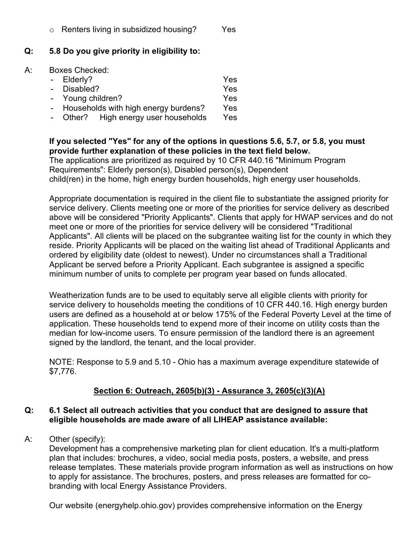#### **Q: 5.8 Do you give priority in eligibility to:**

#### A: Boxes Checked:

| - Elderly?                             | Yes        |
|----------------------------------------|------------|
| - Disabled?                            | Yes        |
| - Young children?                      | Yes        |
| - Households with high energy burdens? | Yes        |
| - Other? High energy user households   | <b>Yes</b> |

#### **If you selected "Yes" for any of the options in questions 5.6, 5.7, or 5.8, you must provide further explanation of these policies in the text field below.**

The applications are prioritized as required by 10 CFR 440.16 "Minimum Program Requirements": Elderly person(s), Disabled person(s), Dependent child(ren) in the home, high energy burden households, high energy user households.

Appropriate documentation is required in the client file to substantiate the assigned priority for service delivery. Clients meeting one or more of the priorities for service delivery as described above will be considered "Priority Applicants". Clients that apply for HWAP services and do not meet one or more of the priorities for service delivery will be considered "Traditional Applicants". All clients will be placed on the subgrantee waiting list for the county in which they reside. Priority Applicants will be placed on the waiting list ahead of Traditional Applicants and ordered by eligibility date (oldest to newest). Under no circumstances shall a Traditional Applicant be served before a Priority Applicant. Each subgrantee is assigned a specific minimum number of units to complete per program year based on funds allocated.

Weatherization funds are to be used to equitably serve all eligible clients with priority for service delivery to households meeting the conditions of 10 CFR 440.16. High energy burden users are defined as a household at or below 175% of the Federal Poverty Level at the time of application. These households tend to expend more of their income on utility costs than the median for low-income users. To ensure permission of the landlord there is an agreement signed by the landlord, the tenant, and the local provider.

NOTE: Response to 5.9 and 5.10 - Ohio has a maximum average expenditure statewide of \$7,776.

# **Section 6: Outreach, 2605(b)(3) - Assurance 3, 2605(c)(3)(A)**

#### **Q: 6.1 Select all outreach activities that you conduct that are designed to assure that eligible households are made aware of all LIHEAP assistance available:**

A: Other (specify):

Development has a comprehensive marketing plan for client education. It's a multi-platform plan that includes: brochures, a video, social media posts, posters, a website, and press release templates. These materials provide program information as well as instructions on how to apply for assistance. The brochures, posters, and press releases are formatted for cobranding with local Energy Assistance Providers.

Our website (energyhelp.ohio.gov) provides comprehensive information on the Energy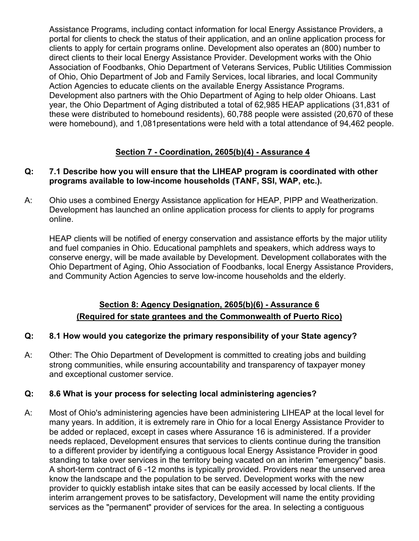Assistance Programs, including contact information for local Energy Assistance Providers, a portal for clients to check the status of their application, and an online application process for clients to apply for certain programs online. Development also operates an (800) number to direct clients to their local Energy Assistance Provider. Development works with the Ohio Association of Foodbanks, Ohio Department of Veterans Services, Public Utilities Commission of Ohio, Ohio Department of Job and Family Services, local libraries, and local Community Action Agencies to educate clients on the available Energy Assistance Programs. Development also partners with the Ohio Department of Aging to help older Ohioans. Last year, the Ohio Department of Aging distributed a total of 62,985 HEAP applications (31,831 of these were distributed to homebound residents), 60,788 people were assisted (20,670 of these were homebound), and 1,081presentations were held with a total attendance of 94,462 people.

# **Section 7 - Coordination, 2605(b)(4) - Assurance 4**

# **Q: 7.1 Describe how you will ensure that the LIHEAP program is coordinated with other programs available to low-income households (TANF, SSI, WAP, etc.).**

A: Ohio uses a combined Energy Assistance application for HEAP, PIPP and Weatherization. Development has launched an online application process for clients to apply for programs online.

HEAP clients will be notified of energy conservation and assistance efforts by the major utility and fuel companies in Ohio. Educational pamphlets and speakers, which address ways to conserve energy, will be made available by Development. Development collaborates with the Ohio Department of Aging, Ohio Association of Foodbanks, local Energy Assistance Providers, and Community Action Agencies to serve low-income households and the elderly.

# **Section 8: Agency Designation, 2605(b)(6) - Assurance 6 (Required for state grantees and the Commonwealth of Puerto Rico)**

# **Q: 8.1 How would you categorize the primary responsibility of your State agency?**

A: Other: The Ohio Department of Development is committed to creating jobs and building strong communities, while ensuring accountability and transparency of taxpayer money and exceptional customer service.

#### **Q: 8.6 What is your process for selecting local administering agencies?**

A: Most of Ohio's administering agencies have been administering LIHEAP at the local level for many years. In addition, it is extremely rare in Ohio for a local Energy Assistance Provider to be added or replaced, except in cases where Assurance 16 is administered. If a provider needs replaced, Development ensures that services to clients continue during the transition to a different provider by identifying a contiguous local Energy Assistance Provider in good standing to take over services in the territory being vacated on an interim "emergency" basis. A short-term contract of 6 -12 months is typically provided. Providers near the unserved area know the landscape and the population to be served. Development works with the new provider to quickly establish intake sites that can be easily accessed by local clients. If the interim arrangement proves to be satisfactory, Development will name the entity providing services as the "permanent" provider of services for the area. In selecting a contiguous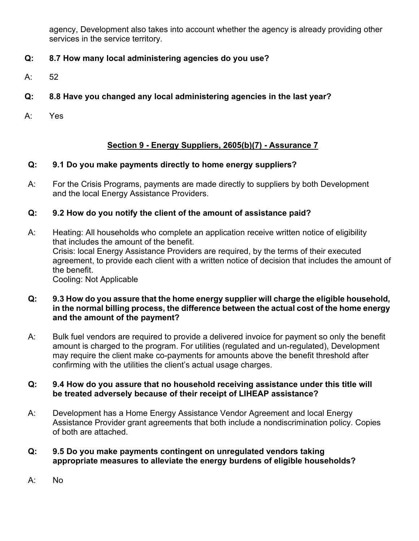agency, Development also takes into account whether the agency is already providing other services in the service territory.

# **Q: 8.7 How many local administering agencies do you use?**

A: 52

# **Q: 8.8 Have you changed any local administering agencies in the last year?**

A: Yes

# **Section 9 - Energy Suppliers, 2605(b)(7) - Assurance 7**

# **Q: 9.1 Do you make payments directly to home energy suppliers?**

A: For the Crisis Programs, payments are made directly to suppliers by both Development and the local Energy Assistance Providers.

# **Q: 9.2 How do you notify the client of the amount of assistance paid?**

A: Heating: All households who complete an application receive written notice of eligibility that includes the amount of the benefit. Crisis: local Energy Assistance Providers are required, by the terms of their executed agreement, to provide each client with a written notice of decision that includes the amount of the benefit. Cooling: Not Applicable

**Q: 9.3 How do you assure that the home energy supplier will charge the eligible household, in the normal billing process, the difference between the actual cost of the home energy and the amount of the payment?**

A: Bulk fuel vendors are required to provide a delivered invoice for payment so only the benefit amount is charged to the program. For utilities (regulated and un-regulated), Development may require the client make co-payments for amounts above the benefit threshold after confirming with the utilities the client's actual usage charges.

#### **Q: 9.4 How do you assure that no household receiving assistance under this title will be treated adversely because of their receipt of LIHEAP assistance?**

- A: Development has a Home Energy Assistance Vendor Agreement and local Energy Assistance Provider grant agreements that both include a nondiscrimination policy. Copies of both are attached.
- **Q: 9.5 Do you make payments contingent on unregulated vendors taking appropriate measures to alleviate the energy burdens of eligible households?**
- A: No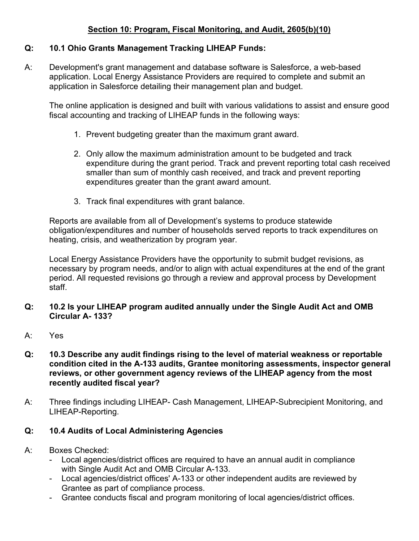# **Section 10: Program, Fiscal Monitoring, and Audit, 2605(b)(10)**

# **Q: 10.1 Ohio Grants Management Tracking LIHEAP Funds:**

A: Development's grant management and database software is Salesforce, a web-based application. Local Energy Assistance Providers are required to complete and submit an application in Salesforce detailing their management plan and budget.

The online application is designed and built with various validations to assist and ensure good fiscal accounting and tracking of LIHEAP funds in the following ways:

- 1. Prevent budgeting greater than the maximum grant award.
- 2. Only allow the maximum administration amount to be budgeted and track expenditure during the grant period. Track and prevent reporting total cash received smaller than sum of monthly cash received, and track and prevent reporting expenditures greater than the grant award amount.
- 3. Track final expenditures with grant balance.

Reports are available from all of Development's systems to produce statewide obligation/expenditures and number of households served reports to track expenditures on heating, crisis, and weatherization by program year.

Local Energy Assistance Providers have the opportunity to submit budget revisions, as necessary by program needs, and/or to align with actual expenditures at the end of the grant period. All requested revisions go through a review and approval process by Development staff.

- **Q: 10.2 Is your LIHEAP program audited annually under the Single Audit Act and OMB Circular A- 133?**
- A: Yes
- **Q: 10.3 Describe any audit findings rising to the level of material weakness or reportable condition cited in the A-133 audits, Grantee monitoring assessments, inspector general reviews, or other government agency reviews of the LIHEAP agency from the most recently audited fiscal year?**
- A: Three findings including LIHEAP- Cash Management, LIHEAP-Subrecipient Monitoring, and LIHEAP-Reporting.

# **Q: 10.4 Audits of Local Administering Agencies**

- A: Boxes Checked:
	- Local agencies/district offices are required to have an annual audit in compliance with Single Audit Act and OMB Circular A-133.
	- Local agencies/district offices' A-133 or other independent audits are reviewed by Grantee as part of compliance process.
	- Grantee conducts fiscal and program monitoring of local agencies/district offices.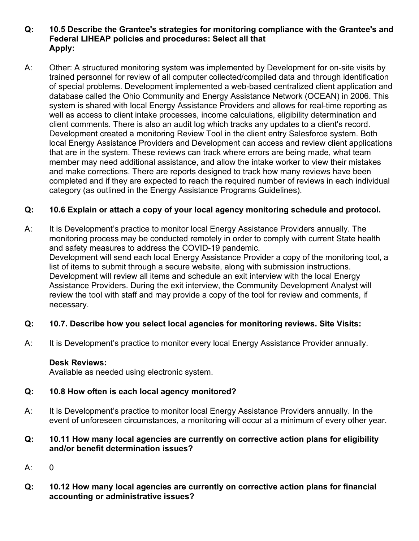#### **Q: 10.5 Describe the Grantee's strategies for monitoring compliance with the Grantee's and Federal LIHEAP policies and procedures: Select all that Apply:**

A: Other: A structured monitoring system was implemented by Development for on-site visits by trained personnel for review of all computer collected/compiled data and through identification of special problems. Development implemented a web-based centralized client application and database called the Ohio Community and Energy Assistance Network (OCEAN) in 2006. This system is shared with local Energy Assistance Providers and allows for real-time reporting as well as access to client intake processes, income calculations, eligibility determination and client comments. There is also an audit log which tracks any updates to a client's record. Development created a monitoring Review Tool in the client entry Salesforce system. Both local Energy Assistance Providers and Development can access and review client applications that are in the system. These reviews can track where errors are being made, what team member may need additional assistance, and allow the intake worker to view their mistakes and make corrections. There are reports designed to track how many reviews have been completed and if they are expected to reach the required number of reviews in each individual category (as outlined in the Energy Assistance Programs Guidelines).

# **Q: 10.6 Explain or attach a copy of your local agency monitoring schedule and protocol.**

A: It is Development's practice to monitor local Energy Assistance Providers annually. The monitoring process may be conducted remotely in order to comply with current State health and safety measures to address the COVID-19 pandemic. Development will send each local Energy Assistance Provider a copy of the monitoring tool, a list of items to submit through a secure website, along with submission instructions. Development will review all items and schedule an exit interview with the local Energy Assistance Providers. During the exit interview, the Community Development Analyst will review the tool with staff and may provide a copy of the tool for review and comments, if necessary.

# **Q: 10.7. Describe how you select local agencies for monitoring reviews. Site Visits:**

A: It is Development's practice to monitor every local Energy Assistance Provider annually.

# **Desk Reviews:**

Available as needed using electronic system.

# **Q: 10.8 How often is each local agency monitored?**

A: It is Development's practice to monitor local Energy Assistance Providers annually. In the event of unforeseen circumstances, a monitoring will occur at a minimum of every other year.

#### **Q: 10.11 How many local agencies are currently on corrective action plans for eligibility and/or benefit determination issues?**

- A: 0
- **Q: 10.12 How many local agencies are currently on corrective action plans for financial accounting or administrative issues?**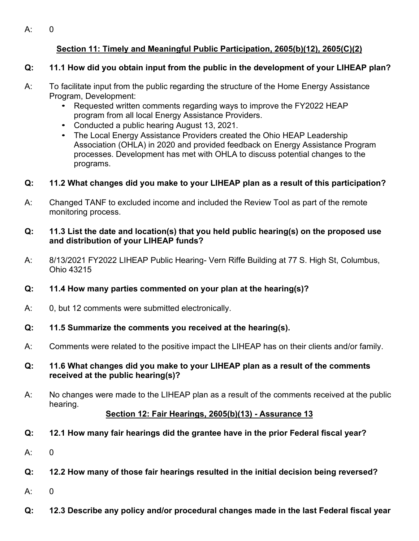A: 0

# **Section 11: Timely and Meaningful Public Participation, 2605(b)(12), 2605(C)(2)**

# **Q: 11.1 How did you obtain input from the public in the development of your LIHEAP plan?**

- A: To facilitate input from the public regarding the structure of the Home Energy Assistance Program, Development:
	- Requested written comments regarding ways to improve the FY2022 HEAP program from all local Energy Assistance Providers.
	- Conducted a public hearing August 13, 2021.
	- The Local Energy Assistance Providers created the Ohio HEAP Leadership Association (OHLA) in 2020 and provided feedback on Energy Assistance Program processes. Development has met with OHLA to discuss potential changes to the programs.

# **Q: 11.2 What changes did you make to your LIHEAP plan as a result of this participation?**

A: Changed TANF to excluded income and included the Review Tool as part of the remote monitoring process.

# **Q: 11.3 List the date and location(s) that you held public hearing(s) on the proposed use and distribution of your LIHEAP funds?**

A: 8/13/2021 FY2022 LIHEAP Public Hearing- Vern Riffe Building at 77 S. High St, Columbus, Ohio 43215

# **Q: 11.4 How many parties commented on your plan at the hearing(s)?**

- A: 0, but 12 comments were submitted electronically.
- **Q: 11.5 Summarize the comments you received at the hearing(s).**
- A: Comments were related to the positive impact the LIHEAP has on their clients and/or family.
- **Q: 11.6 What changes did you make to your LIHEAP plan as a result of the comments received at the public hearing(s)?**
- A: No changes were made to the LIHEAP plan as a result of the comments received at the public hearing.

# **Section 12: Fair Hearings, 2605(b)(13) - Assurance 13**

- **Q: 12.1 How many fair hearings did the grantee have in the prior Federal fiscal year?**
- $A: 0$
- **Q: 12.2 How many of those fair hearings resulted in the initial decision being reversed?**
- A: 0
- **Q: 12.3 Describe any policy and/or procedural changes made in the last Federal fiscal year**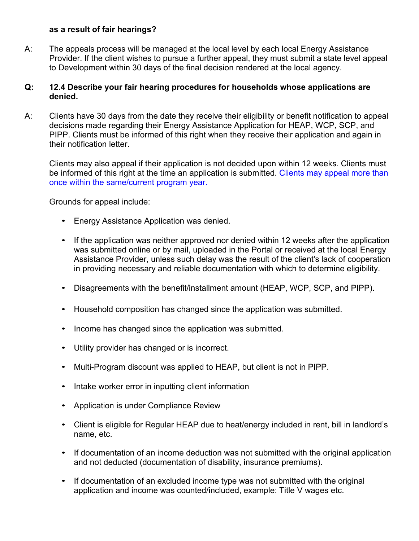#### **as a result of fair hearings?**

A: The appeals process will be managed at the local level by each local Energy Assistance Provider. If the client wishes to pursue a further appeal, they must submit a state level appeal to Development within 30 days of the final decision rendered at the local agency.

#### **Q: 12.4 Describe your fair hearing procedures for households whose applications are denied.**

A: Clients have 30 days from the date they receive their eligibility or benefit notification to appeal decisions made regarding their Energy Assistance Application for HEAP, WCP, SCP, and PIPP. Clients must be informed of this right when they receive their application and again in their notification letter.

Clients may also appeal if their application is not decided upon within 12 weeks. Clients must be informed of this right at the time an application is submitted. Clients may appeal more than once within the same/current program year.

Grounds for appeal include:

- Energy Assistance Application was denied.
- If the application was neither approved nor denied within 12 weeks after the application was submitted online or by mail, uploaded in the Portal or received at the local Energy Assistance Provider, unless such delay was the result of the client's lack of cooperation in providing necessary and reliable documentation with which to determine eligibility.
- Disagreements with the benefit/installment amount (HEAP, WCP, SCP, and PIPP).
- Household composition has changed since the application was submitted.
- Income has changed since the application was submitted.
- Utility provider has changed or is incorrect.
- Multi-Program discount was applied to HEAP, but client is not in PIPP.
- Intake worker error in inputting client information
- Application is under Compliance Review
- Client is eligible for Regular HEAP due to heat/energy included in rent, bill in landlord's name, etc.
- If documentation of an income deduction was not submitted with the original application and not deducted (documentation of disability, insurance premiums).
- If documentation of an excluded income type was not submitted with the original application and income was counted/included, example: Title V wages etc.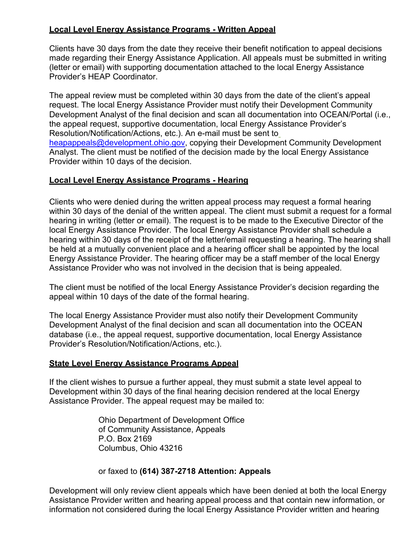# **Local Level Energy Assistance Programs - Written Appeal**

Clients have 30 days from the date they receive their benefit notification to appeal decisions made regarding their Energy Assistance Application. All appeals must be submitted in writing (letter or email) with supporting documentation attached to the local Energy Assistance Provider's HEAP Coordinator.

The appeal review must be completed within 30 days from the date of the client's appeal request. The local Energy Assistance Provider must notify their Development Community Development Analyst of the final decision and scan all documentation into OCEAN/Portal (i.e., the appeal request, supportive documentation, local Energy Assistance Provider's Resolution/Notification/Actions, etc.). An e-mail must be sent to [heapappeals@development.ohio.gov,](mailto:heapappeals@development.ohio.gov) copying their Development Community Development Analyst. The client must be notified of the decision made by the local Energy Assistance Provider within 10 days of the decision.

#### **Local Level Energy Assistance Programs - Hearing**

Clients who were denied during the written appeal process may request a formal hearing within 30 days of the denial of the written appeal. The client must submit a request for a formal hearing in writing (letter or email). The request is to be made to the Executive Director of the local Energy Assistance Provider. The local Energy Assistance Provider shall schedule a hearing within 30 days of the receipt of the letter/email requesting a hearing. The hearing shall be held at a mutually convenient place and a hearing officer shall be appointed by the local Energy Assistance Provider. The hearing officer may be a staff member of the local Energy Assistance Provider who was not involved in the decision that is being appealed.

The client must be notified of the local Energy Assistance Provider's decision regarding the appeal within 10 days of the date of the formal hearing.

The local Energy Assistance Provider must also notify their Development Community Development Analyst of the final decision and scan all documentation into the OCEAN database (i.e., the appeal request, supportive documentation, local Energy Assistance Provider's Resolution/Notification/Actions, etc.).

#### **State Level Energy Assistance Programs Appeal**

If the client wishes to pursue a further appeal, they must submit a state level appeal to Development within 30 days of the final hearing decision rendered at the local Energy Assistance Provider. The appeal request may be mailed to:

> Ohio Department of Development Office of Community Assistance, Appeals P.O. Box 2169 Columbus, Ohio 43216

#### or faxed to **(614) 387-2718 Attention: Appeals**

Development will only review client appeals which have been denied at both the local Energy Assistance Provider written and hearing appeal process and that contain new information, or information not considered during the local Energy Assistance Provider written and hearing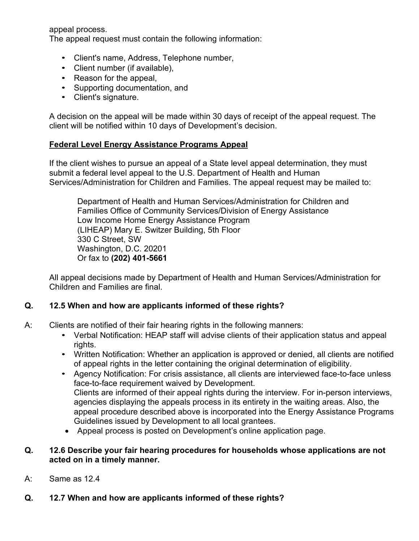appeal process.

The appeal request must contain the following information:

- Client's name, Address, Telephone number,
- Client number (if available),
- Reason for the appeal,
- Supporting documentation, and
- Client's signature.

A decision on the appeal will be made within 30 days of receipt of the appeal request. The client will be notified within 10 days of Development's decision.

#### **Federal Level Energy Assistance Programs Appeal**

If the client wishes to pursue an appeal of a State level appeal determination, they must submit a federal level appeal to the U.S. Department of Health and Human Services/Administration for Children and Families. The appeal request may be mailed to:

Department of Health and Human Services/Administration for Children and Families Office of Community Services/Division of Energy Assistance Low Income Home Energy Assistance Program (LIHEAP) Mary E. Switzer Building, 5th Floor 330 C Street, SW Washington, D.C. 20201 Or fax to **(202) 401-5661**

All appeal decisions made by Department of Health and Human Services/Administration for Children and Families are final.

# **Q. 12.5 When and how are applicants informed of these rights?**

- A: Clients are notified of their fair hearing rights in the following manners:
	- Verbal Notification: HEAP staff will advise clients of their application status and appeal rights.
	- Written Notification: Whether an application is approved or denied, all clients are notified of appeal rights in the letter containing the original determination of eligibility.
	- Agency Notification: For crisis assistance, all clients are interviewed face-to-face unless face-to-face requirement waived by Development. Clients are informed of their appeal rights during the interview. For in-person interviews, agencies displaying the appeals process in its entirety in the waiting areas. Also, the appeal procedure described above is incorporated into the Energy Assistance Programs Guidelines issued by Development to all local grantees.
	- Appeal process is posted on Development's online application page.

#### **Q. 12.6 Describe your fair hearing procedures for households whose applications are not acted on in a timely manner.**

- A: Same as 12.4
- **Q. 12.7 When and how are applicants informed of these rights?**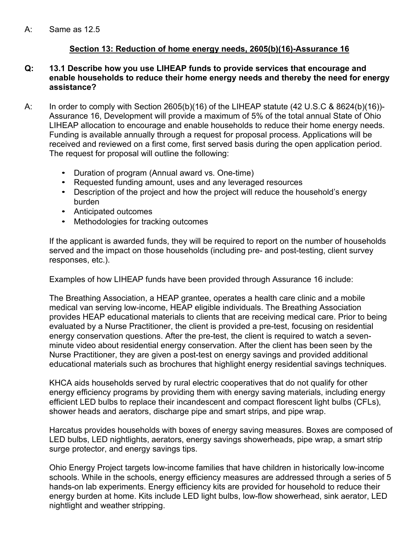# **Section 13: Reduction of home energy needs, 2605(b)(16)-Assurance 16**

#### **Q: 13.1 Describe how you use LIHEAP funds to provide services that encourage and enable households to reduce their home energy needs and thereby the need for energy assistance?**

- A: In order to comply with Section 2605(b)(16) of the LIHEAP statute (42 U.S.C & 8624(b)(16))- Assurance 16, Development will provide a maximum of 5% of the total annual State of Ohio LIHEAP allocation to encourage and enable households to reduce their home energy needs. Funding is available annually through a request for proposal process. Applications will be received and reviewed on a first come, first served basis during the open application period. The request for proposal will outline the following:
	- Duration of program (Annual award vs. One-time)
	- Requested funding amount, uses and any leveraged resources
	- Description of the project and how the project will reduce the household's energy burden
	- Anticipated outcomes
	- Methodologies for tracking outcomes

If the applicant is awarded funds, they will be required to report on the number of households served and the impact on those households (including pre- and post-testing, client survey responses, etc.).

Examples of how LIHEAP funds have been provided through Assurance 16 include:

The Breathing Association, a HEAP grantee, operates a health care clinic and a mobile medical van serving low-income, HEAP eligible individuals. The Breathing Association provides HEAP educational materials to clients that are receiving medical care. Prior to being evaluated by a Nurse Practitioner, the client is provided a pre-test, focusing on residential energy conservation questions. After the pre-test, the client is required to watch a sevenminute video about residential energy conservation. After the client has been seen by the Nurse Practitioner, they are given a post-test on energy savings and provided additional educational materials such as brochures that highlight energy residential savings techniques.

KHCA aids households served by rural electric cooperatives that do not qualify for other energy efficiency programs by providing them with energy saving materials, including energy efficient LED bulbs to replace their incandescent and compact florescent light bulbs (CFLs), shower heads and aerators, discharge pipe and smart strips, and pipe wrap.

Harcatus provides households with boxes of energy saving measures. Boxes are composed of LED bulbs, LED nightlights, aerators, energy savings showerheads, pipe wrap, a smart strip surge protector, and energy savings tips.

Ohio Energy Project targets low-income families that have children in historically low-income schools. While in the schools, energy efficiency measures are addressed through a series of 5 hands-on lab experiments. Energy efficiency kits are provided for household to reduce their energy burden at home. Kits include LED light bulbs, low-flow showerhead, sink aerator, LED nightlight and weather stripping.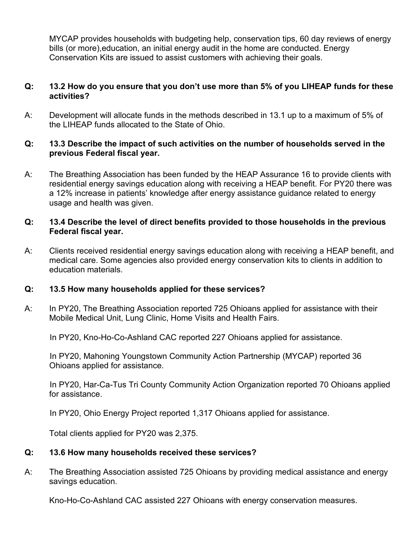MYCAP provides households with budgeting help, conservation tips, 60 day reviews of energy bills (or more),education, an initial energy audit in the home are conducted. Energy Conservation Kits are issued to assist customers with achieving their goals.

#### **Q: 13.2 How do you ensure that you don't use more than 5% of you LIHEAP funds for these activities?**

A: Development will allocate funds in the methods described in 13.1 up to a maximum of 5% of the LIHEAP funds allocated to the State of Ohio.

#### **Q: 13.3 Describe the impact of such activities on the number of households served in the previous Federal fiscal year.**

A: The Breathing Association has been funded by the HEAP Assurance 16 to provide clients with residential energy savings education along with receiving a HEAP benefit. For PY20 there was a 12% increase in patients' knowledge after energy assistance guidance related to energy usage and health was given.

#### **Q: 13.4 Describe the level of direct benefits provided to those households in the previous Federal fiscal year.**

A: Clients received residential energy savings education along with receiving a HEAP benefit, and medical care. Some agencies also provided energy conservation kits to clients in addition to education materials.

# **Q: 13.5 How many households applied for these services?**

A: In PY20, The Breathing Association reported 725 Ohioans applied for assistance with their Mobile Medical Unit, Lung Clinic, Home Visits and Health Fairs.

In PY20, Kno-Ho-Co-Ashland CAC reported 227 Ohioans applied for assistance.

 In PY20, Mahoning Youngstown Community Action Partnership (MYCAP) reported 36 Ohioans applied for assistance.

 In PY20, Har-Ca-Tus Tri County Community Action Organization reported 70 Ohioans applied for assistance.

In PY20, Ohio Energy Project reported 1,317 Ohioans applied for assistance.

Total clients applied for PY20 was 2,375.

#### **Q: 13.6 How many households received these services?**

A: The Breathing Association assisted 725 Ohioans by providing medical assistance and energy savings education.

Kno-Ho-Co-Ashland CAC assisted 227 Ohioans with energy conservation measures.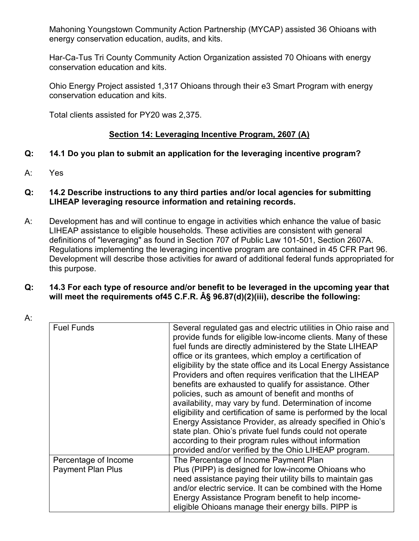Mahoning Youngstown Community Action Partnership (MYCAP) assisted 36 Ohioans with energy conservation education, audits, and kits.

Har-Ca-Tus Tri County Community Action Organization assisted 70 Ohioans with energy conservation education and kits.

Ohio Energy Project assisted 1,317 Ohioans through their e3 Smart Program with energy conservation education and kits.

Total clients assisted for PY20 was 2,375.

# **Section 14: Leveraging Incentive Program, 2607 (A)**

# **Q: 14.1 Do you plan to submit an application for the leveraging incentive program?**

A: Yes

## **Q: 14.2 Describe instructions to any third parties and/or local agencies for submitting LIHEAP leveraging resource information and retaining records.**

A: Development has and will continue to engage in activities which enhance the value of basic LIHEAP assistance to eligible households. These activities are consistent with general definitions of "leveraging" as found in Section 707 of Public Law 101-501, Section 2607A. Regulations implementing the leveraging incentive program are contained in 45 CFR Part 96. Development will describe those activities for award of additional federal funds appropriated for this purpose.

#### **Q: 14.3 For each type of resource and/or benefit to be leveraged in the upcoming year that will meet the requirements of45 C.F.R. § 96.87(d)(2)(iii), describe the following:**

A:

| <b>Fuel Funds</b>                                | Several regulated gas and electric utilities in Ohio raise and<br>provide funds for eligible low-income clients. Many of these<br>fuel funds are directly administered by the State LIHEAP<br>office or its grantees, which employ a certification of<br>eligibility by the state office and its Local Energy Assistance<br>Providers and often requires verification that the LIHEAP<br>benefits are exhausted to qualify for assistance. Other<br>policies, such as amount of benefit and months of<br>availability, may vary by fund. Determination of income<br>eligibility and certification of same is performed by the local<br>Energy Assistance Provider, as already specified in Ohio's<br>state plan. Ohio's private fuel funds could not operate<br>according to their program rules without information<br>provided and/or verified by the Ohio LIHEAP program. |
|--------------------------------------------------|------------------------------------------------------------------------------------------------------------------------------------------------------------------------------------------------------------------------------------------------------------------------------------------------------------------------------------------------------------------------------------------------------------------------------------------------------------------------------------------------------------------------------------------------------------------------------------------------------------------------------------------------------------------------------------------------------------------------------------------------------------------------------------------------------------------------------------------------------------------------------|
| Percentage of Income<br><b>Payment Plan Plus</b> | The Percentage of Income Payment Plan<br>Plus (PIPP) is designed for low-income Ohioans who                                                                                                                                                                                                                                                                                                                                                                                                                                                                                                                                                                                                                                                                                                                                                                                  |
|                                                  | need assistance paying their utility bills to maintain gas                                                                                                                                                                                                                                                                                                                                                                                                                                                                                                                                                                                                                                                                                                                                                                                                                   |
|                                                  | and/or electric service. It can be combined with the Home<br>Energy Assistance Program benefit to help income-                                                                                                                                                                                                                                                                                                                                                                                                                                                                                                                                                                                                                                                                                                                                                               |
|                                                  | eligible Ohioans manage their energy bills. PIPP is                                                                                                                                                                                                                                                                                                                                                                                                                                                                                                                                                                                                                                                                                                                                                                                                                          |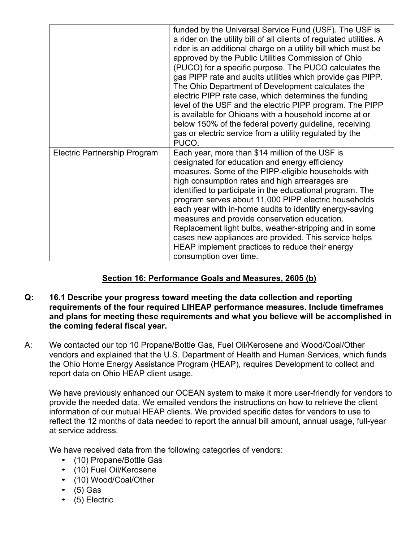|                                     | funded by the Universal Service Fund (USF). The USF is<br>a rider on the utility bill of all clients of regulated utilities. A<br>rider is an additional charge on a utility bill which must be<br>approved by the Public Utilities Commission of Ohio<br>(PUCO) for a specific purpose. The PUCO calculates the<br>gas PIPP rate and audits utilities which provide gas PIPP.<br>The Ohio Department of Development calculates the<br>electric PIPP rate case, which determines the funding<br>level of the USF and the electric PIPP program. The PIPP<br>is available for Ohioans with a household income at or<br>below 150% of the federal poverty guideline, receiving<br>gas or electric service from a utility regulated by the<br>PUCO. |
|-------------------------------------|--------------------------------------------------------------------------------------------------------------------------------------------------------------------------------------------------------------------------------------------------------------------------------------------------------------------------------------------------------------------------------------------------------------------------------------------------------------------------------------------------------------------------------------------------------------------------------------------------------------------------------------------------------------------------------------------------------------------------------------------------|
| <b>Electric Partnership Program</b> | Each year, more than \$14 million of the USF is<br>designated for education and energy efficiency<br>measures. Some of the PIPP-eligible households with<br>high consumption rates and high arrearages are<br>identified to participate in the educational program. The<br>program serves about 11,000 PIPP electric households<br>each year with in-home audits to identify energy-saving<br>measures and provide conservation education.<br>Replacement light bulbs, weather-stripping and in some<br>cases new appliances are provided. This service helps<br>HEAP implement practices to reduce their energy<br>consumption over time.                                                                                                       |

# **Section 16: Performance Goals and Measures, 2605 (b)**

#### **Q: 16.1 Describe your progress toward meeting the data collection and reporting requirements of the four required LIHEAP performance measures. Include timeframes and plans for meeting these requirements and what you believe will be accomplished in the coming federal fiscal year.**

A: We contacted our top 10 Propane/Bottle Gas, Fuel Oil/Kerosene and Wood/Coal/Other vendors and explained that the U.S. Department of Health and Human Services, which funds the Ohio Home Energy Assistance Program (HEAP), requires Development to collect and report data on Ohio HEAP client usage.

We have previously enhanced our OCEAN system to make it more user-friendly for vendors to provide the needed data. We emailed vendors the instructions on how to retrieve the client information of our mutual HEAP clients. We provided specific dates for vendors to use to reflect the 12 months of data needed to report the annual bill amount, annual usage, full-year at service address.

We have received data from the following categories of vendors:

- (10) Propane/Bottle Gas
- (10) Fuel Oil/Kerosene
- (10) Wood/Coal/Other
- $\bullet$  (5) Gas
- (5) Electric